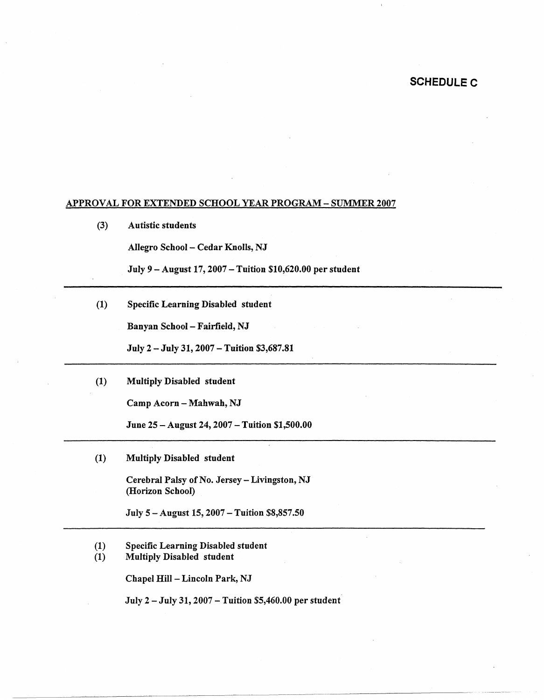## **SCHEDULE C**

## APPROVAL FOR EXTENDED SCHOOL YEAR PROGRAM- SUMMER 2007

(3) Autistic students

Allegro School - Cedar Knolls, NJ

July 9 - August 17, 2007 - Tuition \$10,620.00 per student

(1) Specific Learning Disabled student

Banyan School - Fairfield, NJ

July 2 - July 31, 2007 -Tuition \$3,687.81

(1) Multiply Disabled student

Camp Acorn - Mahwah, NJ

June 25 - August 24, 2007 - Tuition \$1,500.00

(1) Multiply Disabled student

Cerebral Palsy of No. Jersey - Livingston, NJ (Horizon School)

July 5 -August 15, 2007 -Tuition \$8,857.50

- (1) Specific Learning Disabled student
- (1) Multiply Disabled student

Chapel Hill - Lincoln Park, NJ

July 2 - July 31, 2007 - Tuition \$5,460.00 per student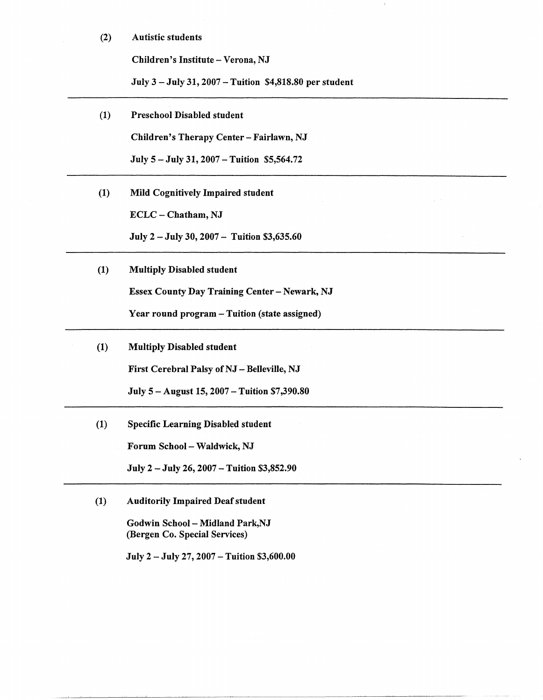## (2) Autistic students

Children's Institute- Verona, NJ

July 3 -July 31, 2007 -Tuition \$4,818.80 per student

(1) Preschool Disabled student

Children's Therapy Center- Fairlawn, NJ

July 5 - July 31, 2007 - Tuition \$5,564.72

(1) Mild Cognitively Impaired student

ECLC - Chatham, NJ

July 2 - July 30, 2007 - Tuition \$3,635.60

(1) Multiply Disabled student

Essex County Day Training Center - Newark, NJ

Year round program - Tuition (state assigned)

(1) Multiply Disabled student

First Cerebral Palsy of NJ - Belleville, NJ

July 5 - August 15, 2007 - Tuition \$7,390.80

(1) Specific Learning Disabled student Forum School - Waldwick, NJ

July 2 - July 26, 2007 - Tuition \$3,852.90

(1) Auditorily Impaired Deaf student

Godwin School - Midland Park, NJ (Bergen Co. Special Services)

July 2 - July 27, 2007 -Tuition \$3,600.00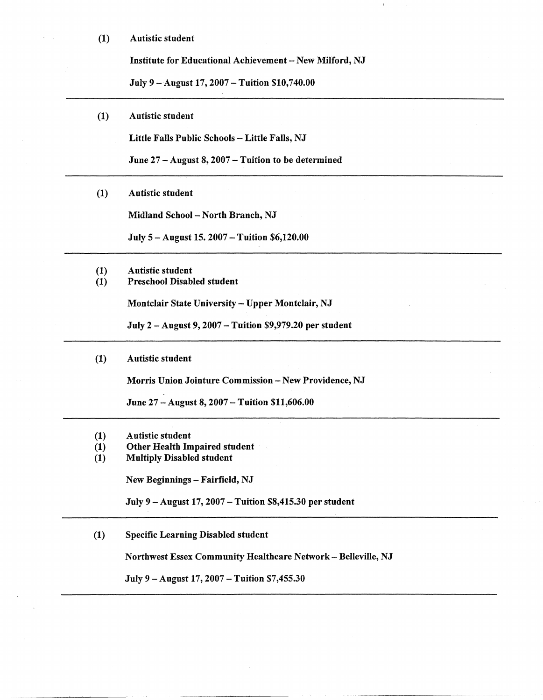(1) Autistic student

Institute for Educational Achievement - New Milford, NJ

July 9 - August 17, 2007 - Tuition \$10,740.00

(1) Autistic student

Little Falls Public Schools - Little Falls, NJ

June 27-August 8, 2007-Tuition to be determined

(1) Autistic student

Midland School - North Branch, NJ

July 5-August 15. 2007 -Tuition \$6,120.00

(1) Autistic student (1) Preschool Disabled student

Montclair State University- Upper Montclair, NJ

July 2 - August 9, 2007 - **Tuition** \$9,979.20 per student

## (1) Autistic student

Morris Union Jointure Commission - New Providence, NJ

June 27 - August 8, 2007 - Tuition \$11,606.00

- (1) Autistic student
- (1) Other Health Impaired student
- (1) Multiply Disabled student

New Beginnings - Fairfield, NJ

July 9-August 17, 2007 -Tuition \$8,415.30 per student

(1) Specific Learning Disabled student

Northwest Essex Community Healthcare Network- Belleville, NJ

July 9 – August 17, 2007 – Tuition \$7,455.30